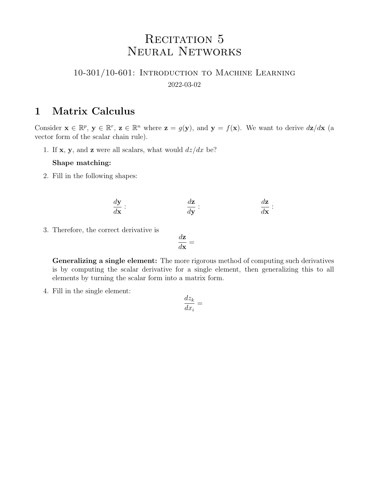# RECITATION 5 Neural Networks

### 10-301/10-601: Introduction to Machine Learning 2022-03-02

### 1 Matrix Calculus

Consider  $\mathbf{x} \in \mathbb{R}^p$ ,  $\mathbf{y} \in \mathbb{R}^r$ ,  $\mathbf{z} \in \mathbb{R}^n$  where  $\mathbf{z} = g(\mathbf{y})$ , and  $\mathbf{y} = f(\mathbf{x})$ . We want to derive  $d\mathbf{z}/d\mathbf{x}$  (a vector form of the scalar chain rule).

1. If **x**, **y**, and **z** were all scalars, what would  $dz/dx$  be?

#### Shape matching:

2. Fill in the following shapes:

$$
\frac{d\mathbf{y}}{d\mathbf{x}}:\qquad \qquad \frac{d\mathbf{z}}{d\mathbf{y}}:\qquad \qquad \frac{d\mathbf{z}}{d\mathbf{x}}:
$$

3. Therefore, the correct derivative is

$$
\frac{d\mathbf{z}}{d\mathbf{x}} =
$$

Generalizing a single element: The more rigorous method of computing such derivatives is by computing the scalar derivative for a single element, then generalizing this to all elements by turning the scalar form into a matrix form.

4. Fill in the single element:

$$
\frac{dz_k}{dx_i} =
$$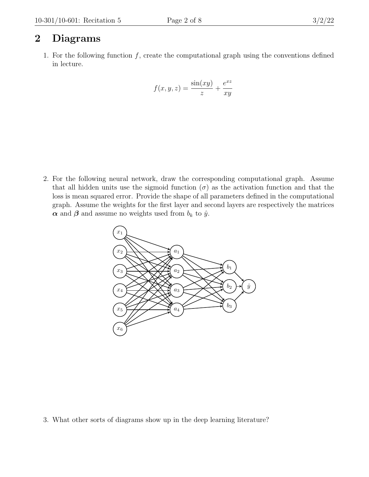## 2 Diagrams

1. For the following function  $f$ , create the computational graph using the conventions defined in lecture.

$$
f(x, y, z) = \frac{\sin(xy)}{z} + \frac{e^{xz}}{xy}
$$

2. For the following neural network, draw the corresponding computational graph. Assume that all hidden units use the sigmoid function  $(\sigma)$  as the activation function and that the loss is mean squared error. Provide the shape of all parameters defined in the computational graph. Assume the weights for the first layer and second layers are respectively the matrices  $\alpha$  and  $\beta$  and assume no weights used from  $b_k$  to  $\hat{y}$ .



3. What other sorts of diagrams show up in the deep learning literature?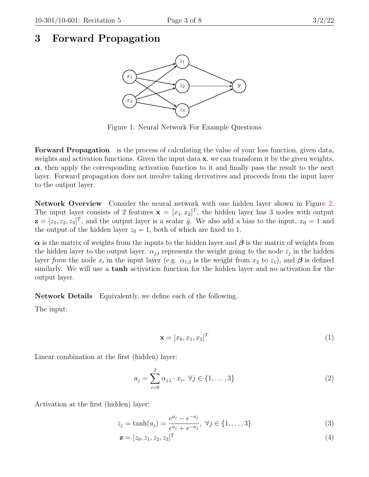### 3 Forward Propagation



Figure 1: Neural Network For Example Questions

Forward Propagation is the process of calculating the value of your loss function, given data, weights and activation functions. Given the input data  $x$ , we can transform it by the given weights,  $\alpha$ , then apply the corresponding activation function to it and finally pass the result to the next layer. Forward propagation does not involve taking derivatives and proceeds from the input layer to the output layer.

Network Overview Consider the neural network with one hidden layer shown in Figure [2.](#page-6-0) The input layer consists of 2 features  $\mathbf{x} = [x_1, x_2]^T$ , the hidden layer has 3 nodes with output  $\mathbf{z} = [z_1, z_2, z_3]^T$ , and the output layer is a scalar  $\hat{y}$ . We also add a bias to the input,  $x_0 = 1$  and the output of the hidden layer  $z_0 = 1$ , both of which are fixed to 1.

 $\alpha$  is the matrix of weights from the inputs to the hidden layer and  $\beta$  is the matrix of weights from the hidden layer to the output layer.  $\alpha_{j,i}$  represents the weight going to the node  $z_j$  in the hidden layer from the node  $x_i$  in the input layer (e.g.  $\alpha_{1,2}$  is the weight from  $x_2$  to  $z_1$ ), and  $\beta$  is defined similarly. We will use a tanh activation function for the hidden layer and no activation for the output layer.

Network Details Equivalently, we define each of the following.

The input:

$$
\mathbf{x} = [x_0, x_1, x_2]^T \tag{1}
$$

Linear combination at the first (hidden) layer:

$$
a_j = \sum_{i=0}^{2} \alpha_{j,i} \cdot x_i, \ \forall j \in \{1, ..., 3\}
$$
 (2)

Activation at the first (hidden) layer:

$$
z_j = \tanh(a_j) = \frac{e^{a_j} - e^{-a_j}}{e^{a_j} + e^{-a_j}}, \ \forall j \in \{1, ..., 3\}
$$
 (3)

$$
\mathbf{z} = [z_0, z_1, z_2, z_3]^T
$$
\n(4)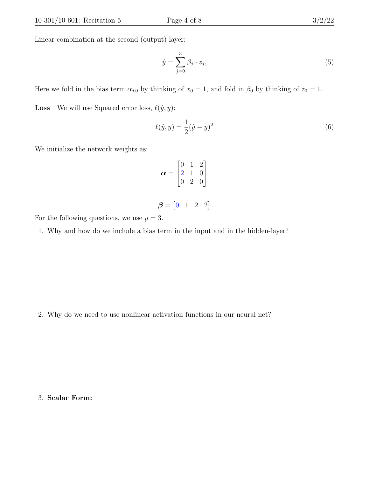Linear combination at the second (output) layer:

$$
\hat{y} = \sum_{j=0}^{3} \beta_j \cdot z_j,\tag{5}
$$

Here we fold in the bias term  $\alpha_{j,0}$  by thinking of  $x_0 = 1$ , and fold in  $\beta_0$  by thinking of  $z_0 = 1$ .

**Loss** We will use Squared error loss,  $\ell(\hat{y}, y)$ :

$$
\ell(\hat{y}, y) = \frac{1}{2}(\hat{y} - y)^2
$$
\n(6)

We initialize the network weights as:

$$
\boldsymbol{\alpha} = \begin{bmatrix} 0 & 1 & 2 \\ 2 & 1 & 0 \\ 0 & 2 & 0 \end{bmatrix}
$$

$$
\boldsymbol{\beta} = \begin{bmatrix} 0 & 1 & 2 & 2 \end{bmatrix}
$$

For the following questions, we use  $y = 3$ .

1. Why and how do we include a bias term in the input and in the hidden-layer?

2. Why do we need to use nonlinear activation functions in our neural net?

3. Scalar Form: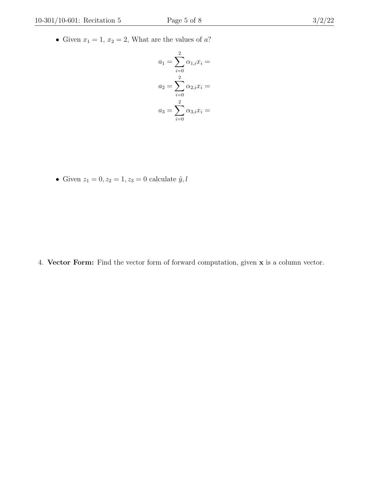$$
a_1 = \sum_{i=0}^{2} \alpha_{1,i} x_i =
$$
  
\n
$$
a_2 = \sum_{i=0}^{2} \alpha_{2,i} x_i =
$$
  
\n
$$
a_3 = \sum_{i=0}^{2} \alpha_{3,i} x_i =
$$

• Given  $z_1 = 0, z_2 = 1, z_3 = 0$  calculate  $\hat{y}, l$ 

4. Vector Form: Find the vector form of forward computation, given x is a column vector.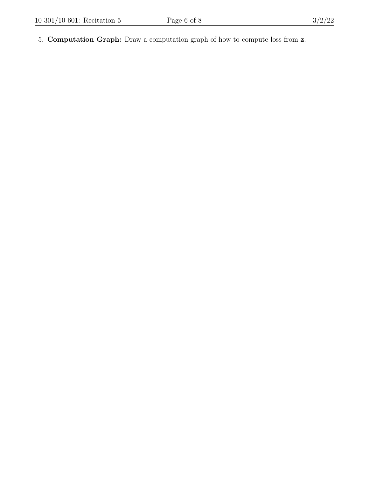5. Computation Graph: Draw a computation graph of how to compute loss from z.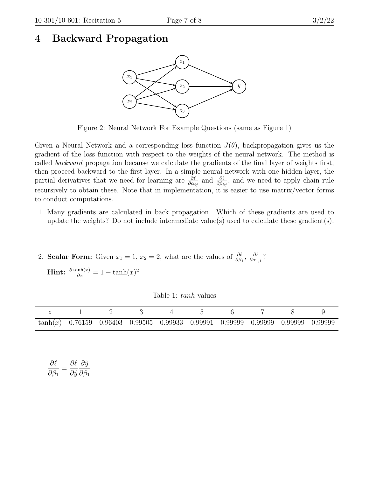### <span id="page-6-0"></span>4 Backward Propagation



Figure 2: Neural Network For Example Questions (same as Figure 1)

Given a Neural Network and a corresponding loss function  $J(\theta)$ , backpropagation gives us the gradient of the loss function with respect to the weights of the neural network. The method is called backward propagation because we calculate the gradients of the final layer of weights first, then proceed backward to the first layer. In a simple neural network with one hidden layer, the partial derivatives that we need for learning are  $\frac{\partial \ell}{\partial \alpha_{ij}}$  and  $\frac{\partial \ell}{\partial \beta_{kj}}$ , and we need to apply chain rule recursively to obtain these. Note that in implementation, it is easier to use matrix/vector forms to conduct computations.

- 1. Many gradients are calculated in back propagation. Which of these gradients are used to update the weights? Do not include intermediate value(s) used to calculate these gradient(s).
- 2. **Scalar Form:** Given  $x_1 = 1$ ,  $x_2 = 2$ , what are the values of  $\frac{\partial \ell}{\partial \beta_1}$ ,  $\frac{\partial \ell}{\partial \alpha_1}$  $\frac{\partial \ell}{\partial \alpha_{1,1}}$ ?

**Hint:**  $\frac{\partial \tanh(x)}{\partial x} = 1 - \tanh(x)^2$ 

Table 1: tanh values

| $\tanh(x)$ 0.76159 0.96403 0.99505 0.99933 0.99991 0.99999 0.99999 0.99999 0.99999 |  |  |  |  |  |
|------------------------------------------------------------------------------------|--|--|--|--|--|

| $\partial \ell$    |  | $\partial \ell \partial \hat{y}$       |
|--------------------|--|----------------------------------------|
| $\partial \beta_1$ |  | $\partial \hat{y} \, \partial \beta_1$ |